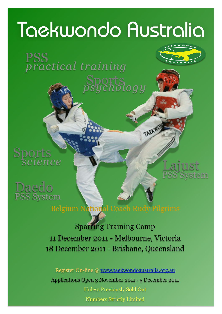# Taekwondo Australia

ports<br>ychology

TAEKWO

*practical training* 



ports<br>*science* 





Belgium National Coach Rudy Pilgrims

Sparring Training Camp 11 December 2011 - Melbourne, Victoria 18 December 2011 - Brisbane, Queensland

Register On-line @ [www.taekwondoaustralia.org.au](http://www.taekwondoaustralia.com.au) Applications Open 3 November 2011 - 5 December 2011 Unless Previously Sold Out Numbers Strictly Limited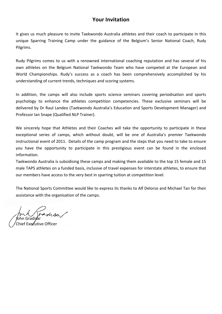### **Your Invitation**

It gives us much pleasure to invite Taekwondo Australia athletes and their coach to participate in this unique Sparring Training Camp under the guidance of the Belgium's Senior National Coach, Rudy Pilgrims.

Rudy Pilgrims comes to us with a renowned international coaching reputation and has several of his own athletes on the Belgium National Taekwondo Team who have competed at the European and World Championships. Rudy's success as a coach has been comprehensively accomplished by his understanding of current trends, techniques and scoring systems.

In addition, the camps will also include sports science seminars covering periodisation and sports psychology to enhance the athletes competition competencies. These exclusive seminars will be delivered by Dr Raul Landeo (Taekwondo Australia's Education and Sports Development Manager) and Professor Ian Snape (Qualified NLP Trainer).

We sincerely hope that Athletes and their Coaches will take the opportunity to participate in these exceptional series of camps, which without doubt, will be one of Australia's premier Taekwondo instructional event of 2011. Details of the camp program and the steps that you need to take to ensure you have the opportunity to participate in this prestigious event can be found in the enclosed information.

Taekwondo Australia is subsidising these camps and making them available to the top 15 female and 15 male TAPS athletes on a funded basis, inclusive of travel expenses for interstate athletes, to ensure that our members have access to the very best in sparring tuition at competition level.

The National Sports Committee would like to express its thanks to Alf Delorso and Michael Tan for their assistance with the organisation of the camps.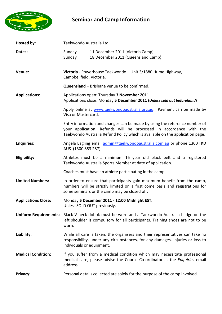

# **Seminar and Camp Information**

| Hosted by:                 | Taekwondo Australia Ltd                                                                                                                                                                                                           |                                                                                                                                                                                                          |
|----------------------------|-----------------------------------------------------------------------------------------------------------------------------------------------------------------------------------------------------------------------------------|----------------------------------------------------------------------------------------------------------------------------------------------------------------------------------------------------------|
| Dates:                     | Sunday<br>Sunday                                                                                                                                                                                                                  | 11 December 2011 (Victoria Camp)<br>18 December 2011 (Queensland Camp)                                                                                                                                   |
| Venue:                     | Victoria - Powerhouse Taekwondo - Unit 3/1880 Hume Highway,<br>Campbellfield, Victoria.                                                                                                                                           |                                                                                                                                                                                                          |
|                            |                                                                                                                                                                                                                                   | <b>Queensland</b> - Brisbane venue to be confirmed.                                                                                                                                                      |
| <b>Applications:</b>       | Applications open: Thursday 3 November 2011<br>Applications close: Monday 5 December 2011 (Unless sold out beforehand)                                                                                                            |                                                                                                                                                                                                          |
|                            | Visa or Mastercard.                                                                                                                                                                                                               | Apply online at www.taekwondoaustralia.org.au. Payment can be made by                                                                                                                                    |
|                            | Entry information and changes can be made by using the reference number of<br>your application. Refunds will be processed in accordance with the<br>Taekwondo Australia Refund Policy which is available on the application page. |                                                                                                                                                                                                          |
| <b>Enquiries:</b>          | AUS (1300 853 287)                                                                                                                                                                                                                | Angela Eagling email admin@taekwondoaustralia.com.au or phone 1300 TKD                                                                                                                                   |
| Eligibility:               |                                                                                                                                                                                                                                   | Athletes must be a minimum 16 year old black belt and a registered<br>Taekwondo Australia Sports Member at date of application.                                                                          |
|                            |                                                                                                                                                                                                                                   | Coaches must have an athlete participating in the camp.                                                                                                                                                  |
| <b>Limited Numbers:</b>    |                                                                                                                                                                                                                                   | In order to ensure that participants gain maximum benefit from the camp,<br>numbers will be strictly limited on a first come basis and registrations for<br>some seminars or the camp may be closed off. |
| <b>Applications Close:</b> |                                                                                                                                                                                                                                   | Monday 5 December 2011 - 12:00 Midnight EST.<br>Unless SOLD OUT previously.                                                                                                                              |
|                            | worn.                                                                                                                                                                                                                             | Uniform Requirements: Black V neck dobok must be worn and a Taekwondo Australia badge on the<br>left shoulder is compulsory for all participants. Training shoes are not to be                           |
| Liability:                 | individuals or equipment.                                                                                                                                                                                                         | While all care is taken, the organisers and their representatives can take no<br>responsibility, under any circumstances, for any damages, injuries or loss to                                           |
| <b>Medical Condition:</b>  | address.                                                                                                                                                                                                                          | If you suffer from a medical condition which may necessitate professional<br>medical care, please advise the Course Co-ordinator at the Enquiries email                                                  |
| Privacy:                   |                                                                                                                                                                                                                                   | Personal details collected are solely for the purpose of the camp involved.                                                                                                                              |